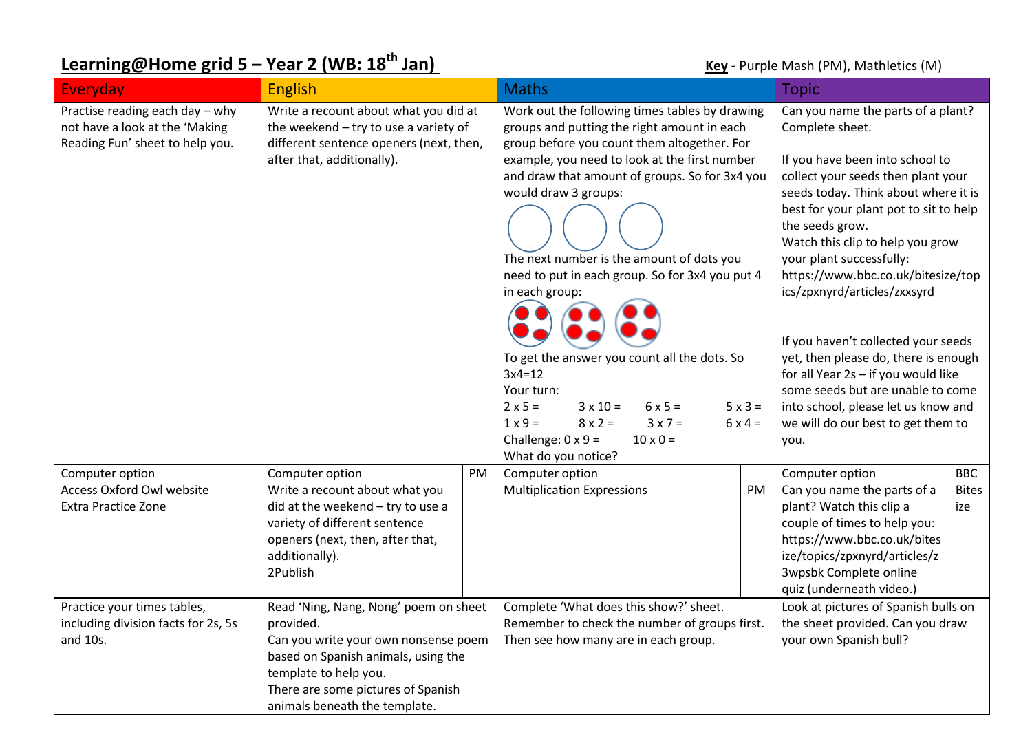## **Learning@Home grid 5 – Year 2 (WB: 18<sup>th</sup> Jan) Key - Purple Mash (PM), Mathletics (M) Key - Purple Mash (PM), Mathletics (M)**

| <b>Everyday</b>                                                                                                                                                                                                                                                                                                     | <b>English</b>                                                                                                                                                                                      | <b>Maths</b>                                                                                                                                                                                                                                                                                                                                                                                                                                                                                                                                                                                                                                                                        | <b>Topic</b>                                                                                                                                                                                                                                                                                                                                                                                                                                                                                                                                                                                                              |  |
|---------------------------------------------------------------------------------------------------------------------------------------------------------------------------------------------------------------------------------------------------------------------------------------------------------------------|-----------------------------------------------------------------------------------------------------------------------------------------------------------------------------------------------------|-------------------------------------------------------------------------------------------------------------------------------------------------------------------------------------------------------------------------------------------------------------------------------------------------------------------------------------------------------------------------------------------------------------------------------------------------------------------------------------------------------------------------------------------------------------------------------------------------------------------------------------------------------------------------------------|---------------------------------------------------------------------------------------------------------------------------------------------------------------------------------------------------------------------------------------------------------------------------------------------------------------------------------------------------------------------------------------------------------------------------------------------------------------------------------------------------------------------------------------------------------------------------------------------------------------------------|--|
| Practise reading each day - why<br>not have a look at the 'Making<br>Reading Fun' sheet to help you.                                                                                                                                                                                                                | Write a recount about what you did at<br>the weekend - try to use a variety of<br>different sentence openers (next, then,<br>after that, additionally).                                             | Work out the following times tables by drawing<br>groups and putting the right amount in each<br>group before you count them altogether. For<br>example, you need to look at the first number<br>and draw that amount of groups. So for 3x4 you<br>would draw 3 groups:<br>The next number is the amount of dots you<br>need to put in each group. So for 3x4 you put 4<br>in each group:<br>To get the answer you count all the dots. So<br>$3x4=12$<br>Your turn:<br>$2 \times 5 =$<br>$3 \times 10 =$<br>$6x5=$<br>$5 \times 3 =$<br>$1 \times 9 =$<br>$8 \times 2 =$<br>$3 \times 7 =$<br>$6 \times 4 =$<br>Challenge: $0 \times 9 =$<br>$10 \times 0 =$<br>What do you notice? | Can you name the parts of a plant?<br>Complete sheet.<br>If you have been into school to<br>collect your seeds then plant your<br>seeds today. Think about where it is<br>best for your plant pot to sit to help<br>the seeds grow.<br>Watch this clip to help you grow<br>your plant successfully:<br>https://www.bbc.co.uk/bitesize/top<br>ics/zpxnyrd/articles/zxxsyrd<br>If you haven't collected your seeds<br>yet, then please do, there is enough<br>for all Year 2s - if you would like<br>some seeds but are unable to come<br>into school, please let us know and<br>we will do our best to get them to<br>vou. |  |
| Computer option<br><b>Access Oxford Owl website</b><br><b>Extra Practice Zone</b>                                                                                                                                                                                                                                   | Computer option<br>PM<br>Write a recount about what you<br>$did$ at the weekend $-$ try to use a<br>variety of different sentence<br>openers (next, then, after that,<br>additionally).<br>2Publish | Computer option<br><b>Multiplication Expressions</b><br>PM.                                                                                                                                                                                                                                                                                                                                                                                                                                                                                                                                                                                                                         | Computer option<br><b>BBC</b><br>Can you name the parts of a<br><b>Bites</b><br>plant? Watch this clip a<br>ize<br>couple of times to help you:<br>https://www.bbc.co.uk/bites<br>ize/topics/zpxnyrd/articles/z<br>3wpsbk Complete online<br>quiz (underneath video.)                                                                                                                                                                                                                                                                                                                                                     |  |
| Practice your times tables,<br>Read 'Ning, Nang, Nong' poem on sheet<br>including division facts for 2s, 5s<br>provided.<br>and 10s.<br>Can you write your own nonsense poem<br>based on Spanish animals, using the<br>template to help you.<br>There are some pictures of Spanish<br>animals beneath the template. |                                                                                                                                                                                                     | Complete 'What does this show?' sheet.<br>Remember to check the number of groups first.<br>Then see how many are in each group.                                                                                                                                                                                                                                                                                                                                                                                                                                                                                                                                                     | Look at pictures of Spanish bulls on<br>the sheet provided. Can you draw<br>your own Spanish bull?                                                                                                                                                                                                                                                                                                                                                                                                                                                                                                                        |  |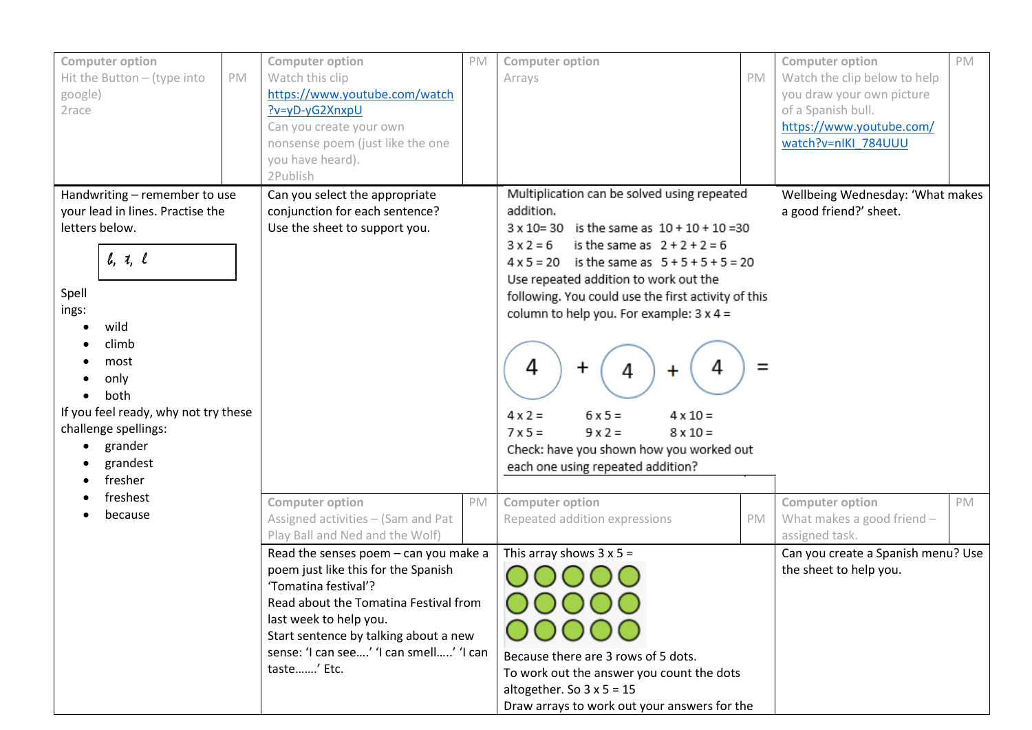| <b>Computer option</b><br>Hit the Button $-$ (type into<br>PM<br>google)<br>2race                                                                                                                                                                                                                                                                                                                          | <b>Computer option</b><br>Watch this clip<br>https://www.youtube.com/watch<br>?v=yD-yG2XnxpU<br>Can you create your own<br>nonsense poem (just like the one<br>you have heard).<br>2Publish | PM                                                                                                                                                                                                                                | <b>Computer option</b><br>Arrays                                                                                                                                                                                                                                                                                                                                                                                                                                                                                                                                         | PM                                                                                                                                                  | <b>Computer option</b><br>Watch the clip below to help<br>you draw your own picture<br>of a Spanish bull.<br>https://www.youtube.com/<br>watch?v=nIKI_784UUU | PM |
|------------------------------------------------------------------------------------------------------------------------------------------------------------------------------------------------------------------------------------------------------------------------------------------------------------------------------------------------------------------------------------------------------------|---------------------------------------------------------------------------------------------------------------------------------------------------------------------------------------------|-----------------------------------------------------------------------------------------------------------------------------------------------------------------------------------------------------------------------------------|--------------------------------------------------------------------------------------------------------------------------------------------------------------------------------------------------------------------------------------------------------------------------------------------------------------------------------------------------------------------------------------------------------------------------------------------------------------------------------------------------------------------------------------------------------------------------|-----------------------------------------------------------------------------------------------------------------------------------------------------|--------------------------------------------------------------------------------------------------------------------------------------------------------------|----|
| Handwriting - remember to use<br>your lead in lines. Practise the<br>letters below.<br>l, l<br>Spell<br>ings:<br>wild<br>climb<br>most<br>only<br>both<br>If you feel ready, why not try these<br>challenge spellings:<br>grander<br>grandest<br>fresher                                                                                                                                                   | Can you select the appropriate<br>conjunction for each sentence?<br>Use the sheet to support you.                                                                                           |                                                                                                                                                                                                                                   | Multiplication can be solved using repeated<br>addition.<br>$3 \times 10 = 30$ is the same as $10 + 10 + 10 = 30$<br>is the same as $2 + 2 + 2 = 6$<br>$3x2=6$<br>$4 \times 5 = 20$ is the same as $5 + 5 + 5 + 5 = 20$<br>Use repeated addition to work out the<br>following. You could use the first activity of this<br>column to help you. For example: $3 \times 4 =$<br>4<br>+<br>+<br>$4 \times 2 =$<br>$6x5=$<br>$4 \times 10 =$<br>$7 \times 5 =$<br>$9x2=$<br>$8 \times 10 =$<br>Check: have you shown how you worked out<br>each one using repeated addition? |                                                                                                                                                     | Wellbeing Wednesday: 'What makes<br>a good friend?' sheet.                                                                                                   |    |
| freshest<br><b>Computer option</b><br>PM<br>because<br>Assigned activities - (Sam and Pat<br>Play Ball and Ned and the Wolf)<br>Read the senses poem - can you make a<br>poem just like this for the Spanish<br>'Tomatina festival'?<br>Read about the Tomatina Festival from<br>last week to help you.<br>Start sentence by talking about a new<br>sense: 'I can see' 'I can smell' 'I can<br>taste' Etc. |                                                                                                                                                                                             | <b>Computer option</b><br>Repeated addition expressions<br>PM<br>This array shows $3 \times 5 =$<br>JUUUL<br>Because there are 3 rows of 5 dots.<br>To work out the answer you count the dots<br>altogether. So $3 \times 5 = 15$ |                                                                                                                                                                                                                                                                                                                                                                                                                                                                                                                                                                          | <b>Computer option</b><br><b>PM</b><br>What makes a good friend -<br>assigned task.<br>Can you create a Spanish menu? Use<br>the sheet to help you. |                                                                                                                                                              |    |